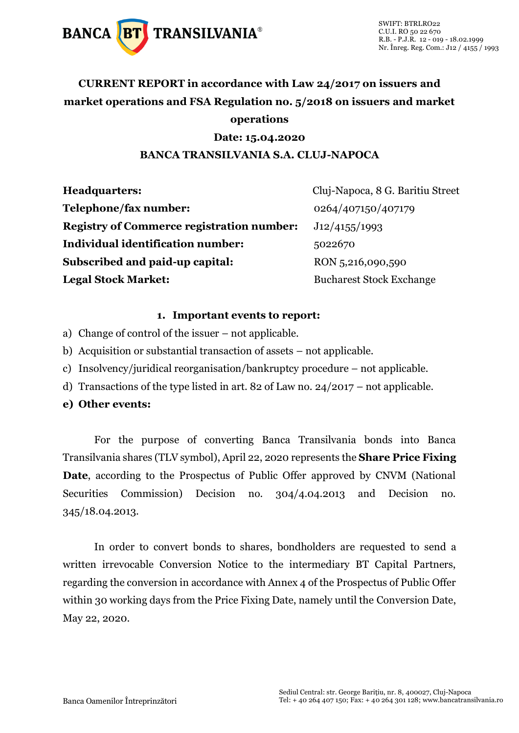

## **CURRENT REPORT in accordance with Law 24/2017 on issuers and market operations and FSA Regulation no. 5/2018 on issuers and market operations**

### **Date: 15.04.2020**

### **BANCA TRANSILVANIA S.A. CLUJ-NAPOCA**

| <b>Headquarters:</b>                             | Cluj-Napoca, 8 G. Baritiu Street |
|--------------------------------------------------|----------------------------------|
| Telephone/fax number:                            | 0264/407150/407179               |
| <b>Registry of Commerce registration number:</b> | J12/4155/1993                    |
| <b>Individual identification number:</b>         | 5022670                          |
| Subscribed and paid-up capital:                  | RON 5,216,090,590                |
| <b>Legal Stock Market:</b>                       | <b>Bucharest Stock Exchange</b>  |

#### **1. Important events to report:**

- a) Change of control of the issuer not applicable.
- b) Acquisition or substantial transaction of assets not applicable.
- c) Insolvency/juridical reorganisation/bankruptcy procedure not applicable.
- d) Transactions of the type listed in art. 82 of Law no. 24/2017 not applicable.
- **e) Other events:**

For the purpose of converting Banca Transilvania bonds into Banca Transilvania shares (TLV symbol), April 22, 2020 represents the **Share Price Fixing Date**, according to the Prospectus of Public Offer approved by CNVM (National Securities Commission) Decision no. 304/4.04.2013 and Decision no. 345/18.04.2013.

In order to convert bonds to shares, bondholders are requested to send a written irrevocable Conversion Notice to the intermediary BT Capital Partners, regarding the conversion in accordance with Annex 4 of the Prospectus of Public Offer within 30 working days from the Price Fixing Date, namely until the Conversion Date, May 22, 2020.